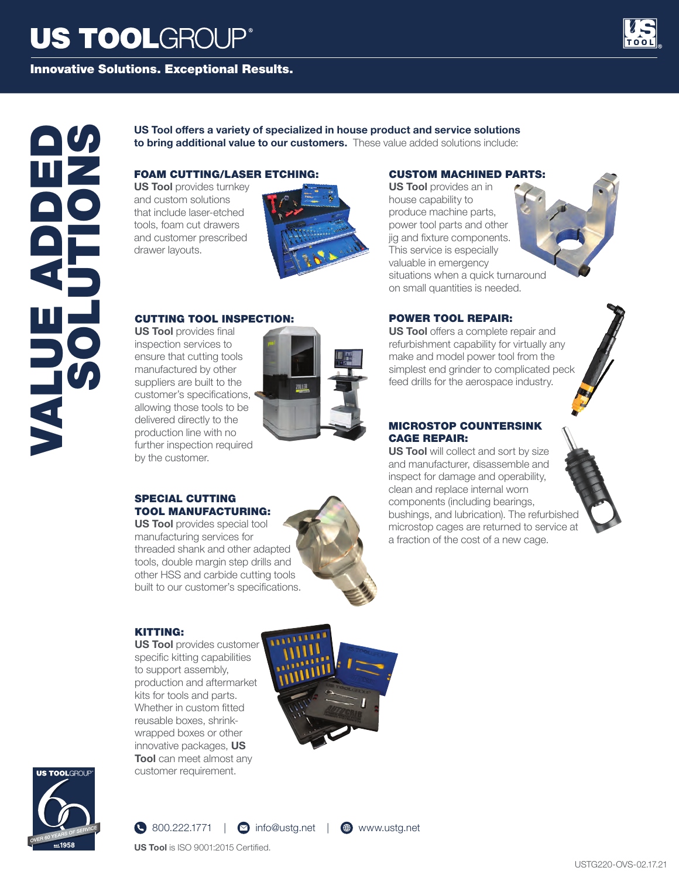# **US TOOLGROUP®**





# VALUE ADDED SOLUTIONS

### **US Tool offers a variety of specialized in house product and service solutions to bring additional value to our customers.** These value added solutions include:

# FOAM CUTTING/LASER ETCHING:

**US Tool** provides turnkey and custom solutions that include laser-etched tools, foam cut drawers and customer prescribed drawer layouts.



### CUTTING TOOL INSPECTION:

**US Tool** provides final inspection services to ensure that cutting tools manufactured by other suppliers are built to the customer's specifications, allowing those tools to be delivered directly to the production line with no further inspection required by the customer.



### SPECIAL CUTTING TOOL MANUFACTURING:

**US Tool** provides special tool manufacturing services for threaded shank and other adapted tools, double margin step drills and other HSS and carbide cutting tools built to our customer's specifications.



### KITTING:

**US Tool** provides customer specific kitting capabilities to support assembly, production and aftermarket kits for tools and parts. Whether in custom fitted reusable boxes, shrinkwrapped boxes or other innovative packages, **US Tool** can meet almost any customer requirement.





# $\bigcirc$  800.222.1771 |  $\bigcirc$  info@ustg.net |  $\bigcirc$  www.ustg.net



**US Tool** is ISO 9001:2015 Certified.

# CUSTOM MACHINED PARTS:

**US Tool** provides an in house capability to produce machine parts, power tool parts and other jig and fixture components. This service is especially valuable in emergency situations when a quick turnaround on small quantities is needed.



## POWER TOOL REPAIR:

**US Tool** offers a complete repair and refurbishment capability for virtually any make and model power tool from the simplest end grinder to complicated peck feed drills for the aerospace industry.

### MICROSTOP COUNTERSINK CAGE REPAIR:

**US Tool** will collect and sort by size and manufacturer, disassemble and inspect for damage and operability, clean and replace internal worn components (including bearings, bushings, and lubrication). The refurbished microstop cages are returned to service at a fraction of the cost of a new cage.